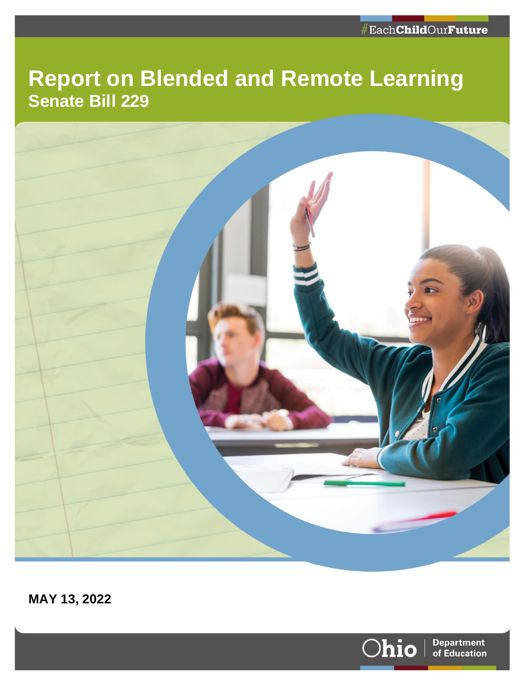# **Report on Blended and Remote Learning Senate Bill 229**



**MAY 13, 2022**

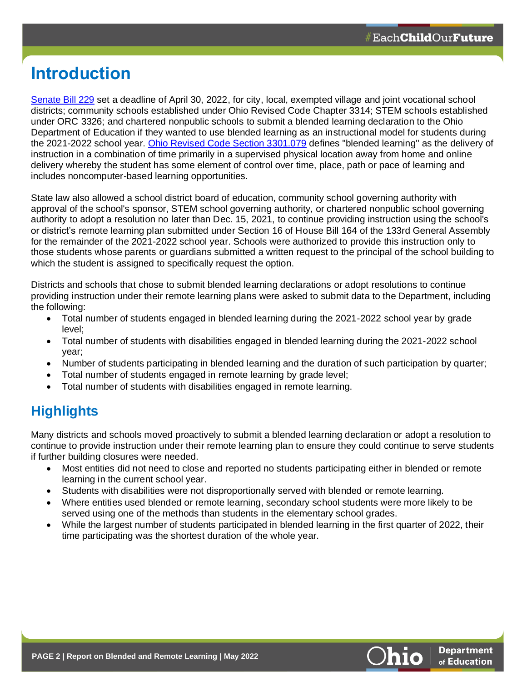# **Introduction**

[Senate Bill 229](https://search-prod.lis.state.oh.us/solarapi/v1/general_assembly_134/bills/sb229/EN/05/sb229_05_EN?format=pdf) set a deadline of April 30, 2022, for city, local, exempted village and joint vocational school districts; community schools established under Ohio Revised Code Chapter 3314; STEM schools established under ORC 3326; and chartered nonpublic schools to submit a blended learning declaration to the Ohio Department of Education if they wanted to use blended learning as an instructional model for students during the 2021-2022 school year. [Ohio Revised Code Section 3301.079](https://codes.ohio.gov/ohio-revised-code/section-3301.079) defines "blended learning" as the delivery of instruction in a combination of time primarily in a supervised physical location away from home and online delivery whereby the student has some element of control over time, place, path or pace of learning and includes noncomputer-based learning opportunities.

State law also allowed a school district board of education, community school governing authority with approval of the school's sponsor, STEM school governing authority, or chartered nonpublic school governing authority to adopt a resolution no later than Dec. 15, 2021, to continue providing instruction using the school's or district's remote learning plan submitted under Section 16 of House Bill 164 of the 133rd General Assembly for the remainder of the 2021-2022 school year. Schools were authorized to provide this instruction only to those students whose parents or guardians submitted a written request to the principal of the school building to which the student is assigned to specifically request the option.

Districts and schools that chose to submit blended learning declarations or adopt resolutions to continue providing instruction under their remote learning plans were asked to submit data to the Department, including the following:

- Total number of students engaged in blended learning during the 2021-2022 school year by grade level;
- Total number of students with disabilities engaged in blended learning during the 2021-2022 school year;
- Number of students participating in blended learning and the duration of such participation by quarter;
- Total number of students engaged in remote learning by grade level;
- Total number of students with disabilities engaged in remote learning.

# **Highlights**

Many districts and schools moved proactively to submit a blended learning declaration or adopt a resolution to continue to provide instruction under their remote learning plan to ensure they could continue to serve students if further building closures were needed.

- Most entities did not need to close and reported no students participating either in blended or remote learning in the current school year.
- Students with disabilities were not disproportionally served with blended or remote learning.
- Where entities used blended or remote learning, secondary school students were more likely to be served using one of the methods than students in the elementary school grades.
- While the largest number of students participated in blended learning in the first quarter of 2022, their time participating was the shortest duration of the whole year.

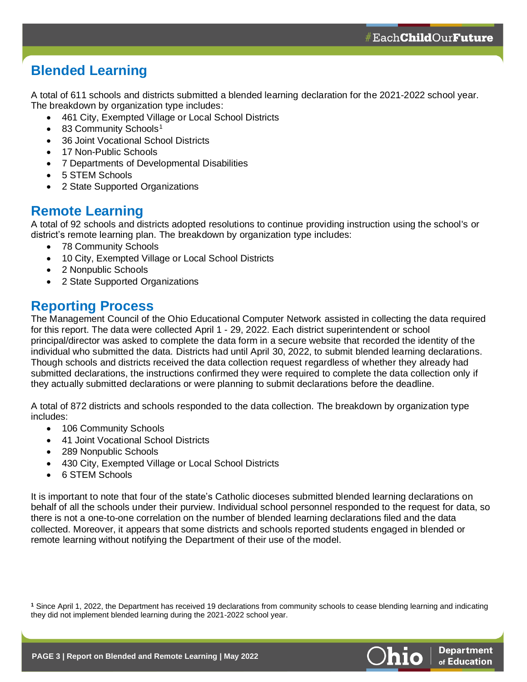# **Blended Learning**

A total of 611 schools and districts submitted a blended learning declaration for the 2021-2022 school year. The breakdown by organization type includes:

- 461 City, Exempted Village or Local School Districts
- 83 Community Schools<sup>1</sup>
- 36 Joint Vocational School Districts
- 17 Non-Public Schools
- 7 Departments of Developmental Disabilities
- 5 STEM Schools
- 2 State Supported Organizations

#### **Remote Learning**

A total of 92 schools and districts adopted resolutions to continue providing instruction using the school's or district's remote learning plan. The breakdown by organization type includes:

- 78 Community Schools
- 10 City, Exempted Village or Local School Districts
- 2 Nonpublic Schools
- 2 State Supported Organizations

#### **Reporting Process**

The Management Council of the Ohio Educational Computer Network assisted in collecting the data required for this report. The data were collected April 1 - 29, 2022. Each district superintendent or school principal/director was asked to complete the data form in a secure website that recorded the identity of the individual who submitted the data. Districts had until April 30, 2022, to submit blended learning declarations. Though schools and districts received the data collection request regardless of whether they already had submitted declarations, the instructions confirmed they were required to complete the data collection only if they actually submitted declarations or were planning to submit declarations before the deadline.

A total of 872 districts and schools responded to the data collection. The breakdown by organization type includes:

- 106 Community Schools
- 41 Joint Vocational School Districts
- 289 Nonpublic Schools
- 430 City, Exempted Village or Local School Districts
- 6 STEM Schools

It is important to note that four of the state's Catholic dioceses submitted blended learning declarations on behalf of all the schools under their purview. Individual school personnel responded to the request for data, so there is not a one-to-one correlation on the number of blended learning declarations filed and the data collected. Moreover, it appears that some districts and schools reported students engaged in blended or remote learning without notifying the Department of their use of the model.

**<sup>1</sup>** Since April 1, 2022, the Department has received 19 declarations from community schools to cease blending learning and indicating they did not implement blended learning during the 2021-2022 school year.



**Department** of Education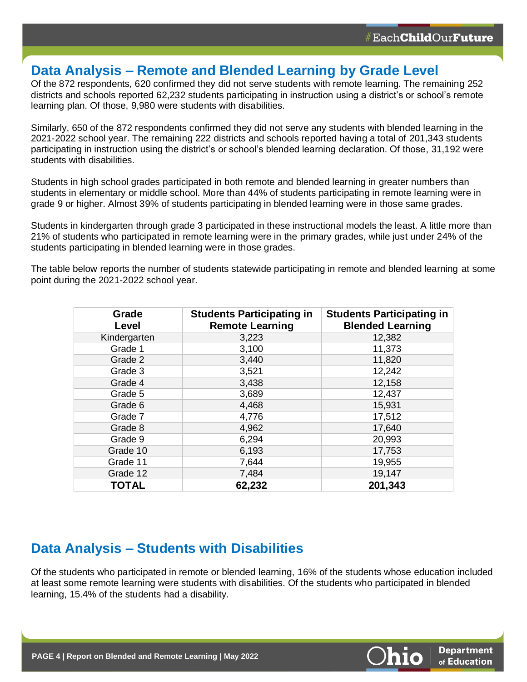#### **Data Analysis – Remote and Blended Learning by Grade Level**

Of the 872 respondents, 620 confirmed they did not serve students with remote learning. The remaining 252 districts and schools reported 62,232 students participating in instruction using a district's or school's remote learning plan. Of those, 9,980 were students with disabilities.

Similarly, 650 of the 872 respondents confirmed they did not serve any students with blended learning in the 2021-2022 school year. The remaining 222 districts and schools reported having a total of 201,343 students participating in instruction using the district's or school's blended learning declaration. Of those, 31,192 were students with disabilities.

Students in high school grades participated in both remote and blended learning in greater numbers than students in elementary or middle school. More than 44% of students participating in remote learning were in grade 9 or higher. Almost 39% of students participating in blended learning were in those same grades.

Students in kindergarten through grade 3 participated in these instructional models the least. A little more than 21% of students who participated in remote learning were in the primary grades, while just under 24% of the students participating in blended learning were in those grades.

The table below reports the number of students statewide participating in remote and blended learning at some point during the 2021-2022 school year.

| Grade<br><b>Level</b> | <b>Students Participating in</b><br><b>Remote Learning</b> | <b>Students Participating in</b><br><b>Blended Learning</b> |
|-----------------------|------------------------------------------------------------|-------------------------------------------------------------|
| Kindergarten          | 3,223                                                      | 12,382                                                      |
| Grade 1               | 3,100                                                      | 11,373                                                      |
| Grade 2               | 3,440                                                      | 11,820                                                      |
| Grade 3               | 3,521                                                      | 12,242                                                      |
| Grade 4               | 3,438                                                      | 12,158                                                      |
| Grade 5               | 3,689                                                      | 12,437                                                      |
| Grade 6               | 4,468                                                      | 15,931                                                      |
| Grade 7               | 4,776                                                      | 17,512                                                      |
| Grade 8               | 4,962                                                      | 17,640                                                      |
| Grade 9               | 6,294                                                      | 20,993                                                      |
| Grade 10              | 6,193                                                      | 17,753                                                      |
| Grade 11              | 7,644                                                      | 19,955                                                      |
| Grade 12              | 7,484                                                      | 19,147                                                      |
| <b>TOTAL</b>          | 62,232                                                     | 201,343                                                     |

#### **Data Analysis – Students with Disabilities**

Of the students who participated in remote or blended learning, 16% of the students whose education included at least some remote learning were students with disabilities. Of the students who participated in blended learning, 15.4% of the students had a disability.

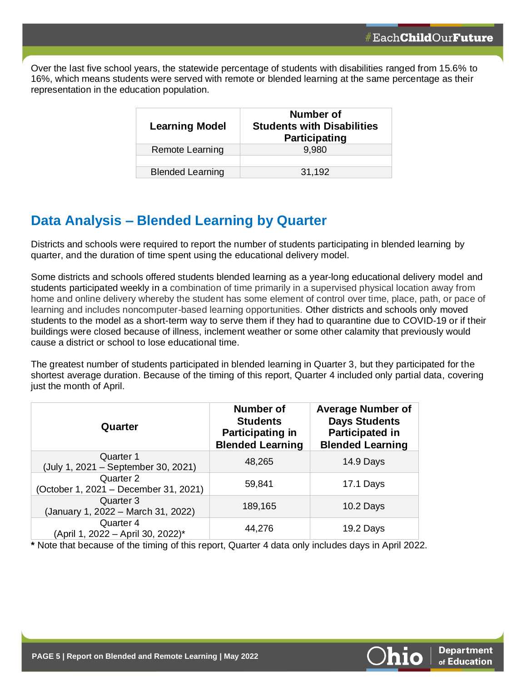Over the last five school years, the statewide percentage of students with disabilities ranged from 15.6% to 16%, which means students were served with remote or blended learning at the same percentage as their representation in the education population.

| <b>Learning Model</b>   | Number of<br><b>Students with Disabilities</b><br><b>Participating</b> |
|-------------------------|------------------------------------------------------------------------|
| Remote Learning         | 9,980                                                                  |
|                         |                                                                        |
| <b>Blended Learning</b> | 31,192                                                                 |

# **Data Analysis – Blended Learning by Quarter**

Districts and schools were required to report the number of students participating in blended learning by quarter, and the duration of time spent using the educational delivery model.

Some districts and schools offered students blended learning as a year-long educational delivery model and students participated weekly in a combination of time primarily in a supervised physical location away from home and online delivery whereby the student has some element of control over time, place, path, or pace of learning and includes noncomputer-based learning opportunities. Other districts and schools only moved students to the model as a short-term way to serve them if they had to quarantine due to COVID-19 or if their buildings were closed because of illness, inclement weather or some other calamity that previously would cause a district or school to lose educational time.

The greatest number of students participated in blended learning in Quarter 3, but they participated for the shortest average duration. Because of the timing of this report, Quarter 4 included only partial data, covering just the month of April.

| Quarter                                            | <b>Number of</b><br><b>Students</b><br><b>Participating in</b><br><b>Blended Learning</b> | <b>Average Number of</b><br><b>Days Students</b><br><b>Participated in</b><br><b>Blended Learning</b> |
|----------------------------------------------------|-------------------------------------------------------------------------------------------|-------------------------------------------------------------------------------------------------------|
| Quarter 1<br>(July 1, 2021 - September 30, 2021)   | 48,265                                                                                    | 14.9 Days                                                                                             |
| Quarter 2<br>(October 1, 2021 - December 31, 2021) | 59,841                                                                                    | 17.1 Days                                                                                             |
| Quarter 3<br>(January 1, 2022 - March 31, 2022)    | 189,165                                                                                   | 10.2 Days                                                                                             |
| Quarter 4<br>(April 1, 2022 - April 30, 2022)*     | 44,276                                                                                    | 19.2 Days                                                                                             |

**\*** Note that because of the timing of this report, Quarter 4 data only includes days in April 2022.

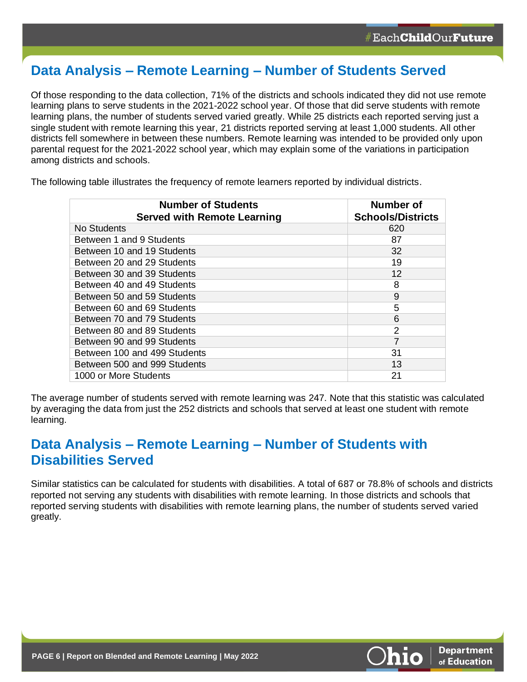# **Data Analysis – Remote Learning – Number of Students Served**

Of those responding to the data collection, 71% of the districts and schools indicated they did not use remote learning plans to serve students in the 2021-2022 school year. Of those that did serve students with remote learning plans, the number of students served varied greatly. While 25 districts each reported serving just a single student with remote learning this year, 21 districts reported serving at least 1,000 students. All other districts fell somewhere in between these numbers. Remote learning was intended to be provided only upon parental request for the 2021-2022 school year, which may explain some of the variations in participation among districts and schools.

The following table illustrates the frequency of remote learners reported by individual districts.

| <b>Number of Students</b><br><b>Served with Remote Learning</b> | Number of<br><b>Schools/Districts</b> |
|-----------------------------------------------------------------|---------------------------------------|
| No Students                                                     | 620                                   |
| Between 1 and 9 Students                                        | 87                                    |
| Between 10 and 19 Students                                      | 32                                    |
| Between 20 and 29 Students                                      | 19                                    |
| Between 30 and 39 Students                                      | 12                                    |
| Between 40 and 49 Students                                      | 8                                     |
| Between 50 and 59 Students                                      | 9                                     |
| Between 60 and 69 Students                                      | 5                                     |
| Between 70 and 79 Students                                      | 6                                     |
| Between 80 and 89 Students                                      | 2                                     |
| Between 90 and 99 Students                                      | 7                                     |
| Between 100 and 499 Students                                    | 31                                    |
| Between 500 and 999 Students                                    | 13                                    |
| 1000 or More Students                                           | 21                                    |

The average number of students served with remote learning was 247. Note that this statistic was calculated by averaging the data from just the 252 districts and schools that served at least one student with remote learning.

## **Data Analysis – Remote Learning – Number of Students with Disabilities Served**

Similar statistics can be calculated for students with disabilities. A total of 687 or 78.8% of schools and districts reported not serving any students with disabilities with remote learning. In those districts and schools that reported serving students with disabilities with remote learning plans, the number of students served varied greatly.

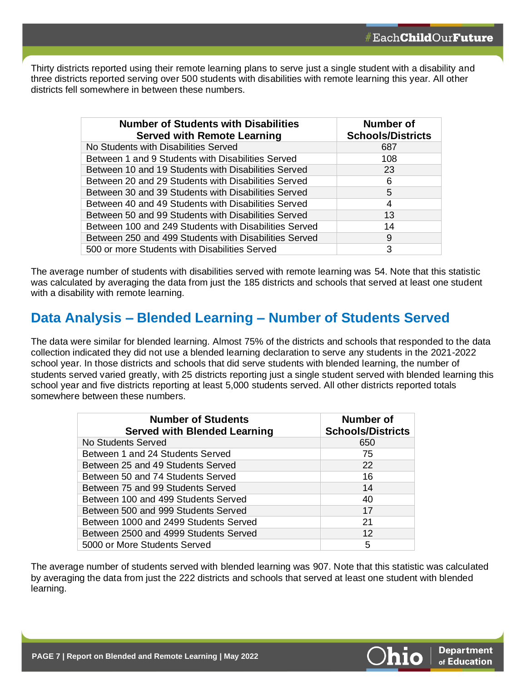Thirty districts reported using their remote learning plans to serve just a single student with a disability and three districts reported serving over 500 students with disabilities with remote learning this year. All other districts fell somewhere in between these numbers.

| <b>Number of Students with Disabilities</b><br><b>Served with Remote Learning</b> | Number of<br><b>Schools/Districts</b> |
|-----------------------------------------------------------------------------------|---------------------------------------|
| No Students with Disabilities Served                                              | 687                                   |
| Between 1 and 9 Students with Disabilities Served                                 | 108                                   |
| Between 10 and 19 Students with Disabilities Served                               | 23                                    |
| Between 20 and 29 Students with Disabilities Served                               | 6                                     |
| Between 30 and 39 Students with Disabilities Served                               | 5                                     |
| Between 40 and 49 Students with Disabilities Served                               | 4                                     |
| Between 50 and 99 Students with Disabilities Served                               | 13                                    |
| Between 100 and 249 Students with Disabilities Served                             | 14                                    |
| Between 250 and 499 Students with Disabilities Served                             | 9                                     |
| 500 or more Students with Disabilities Served                                     | 3                                     |

The average number of students with disabilities served with remote learning was 54. Note that this statistic was calculated by averaging the data from just the 185 districts and schools that served at least one student with a disability with remote learning.

## **Data Analysis – Blended Learning – Number of Students Served**

The data were similar for blended learning. Almost 75% of the districts and schools that responded to the data collection indicated they did not use a blended learning declaration to serve any students in the 2021-2022 school year. In those districts and schools that did serve students with blended learning, the number of students served varied greatly, with 25 districts reporting just a single student served with blended learning this school year and five districts reporting at least 5,000 students served. All other districts reported totals somewhere between these numbers.

| <b>Number of Students</b><br><b>Served with Blended Learning</b> | Number of<br><b>Schools/Districts</b> |
|------------------------------------------------------------------|---------------------------------------|
| No Students Served                                               | 650                                   |
| Between 1 and 24 Students Served                                 | 75                                    |
| Between 25 and 49 Students Served                                | 22                                    |
| Between 50 and 74 Students Served                                | 16                                    |
| Between 75 and 99 Students Served                                | 14                                    |
| Between 100 and 499 Students Served                              | 40                                    |
| Between 500 and 999 Students Served                              | 17                                    |
| Between 1000 and 2499 Students Served                            | 21                                    |
| Between 2500 and 4999 Students Served                            | 12                                    |
| 5000 or More Students Served                                     | 5                                     |

The average number of students served with blended learning was 907. Note that this statistic was calculated by averaging the data from just the 222 districts and schools that served at least one student with blended learning.